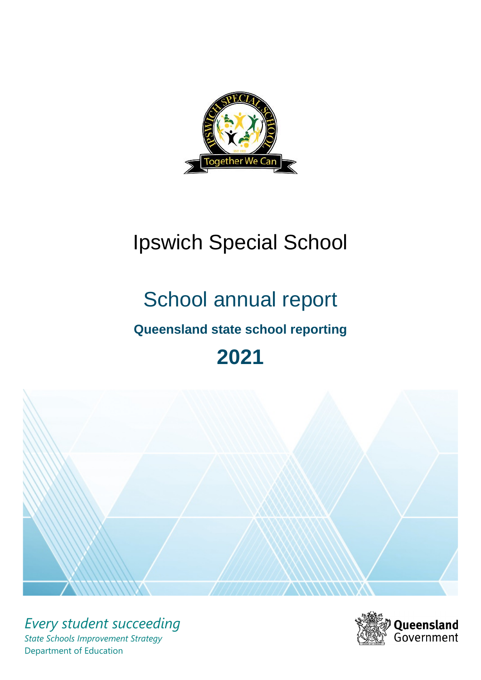

# Ipswich Special School

# School annual report **Queensland state school reporting**

# **2021**



*Every student succeeding State Schools Improvement Strategy* Department of Education

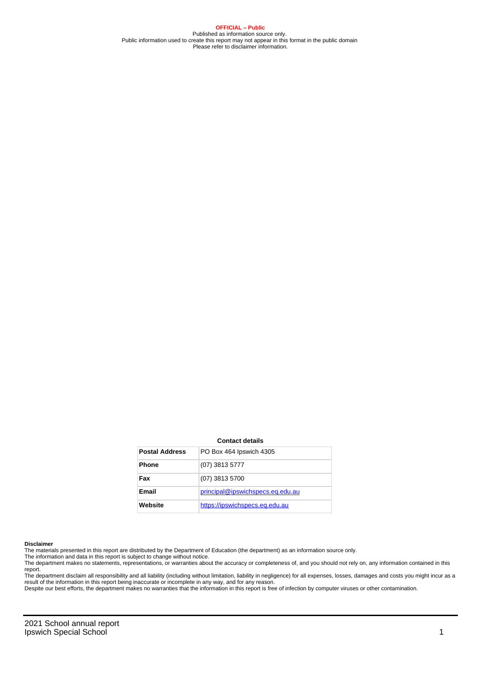**OFFICIAL – Public** Published as information source only. Public information used to create this report may not appear in this format in the public domain Please refer to disclaimer information.

#### **Contact details**

| <b>Postal Address</b> | PO Box 464 Ipswich 4305          |
|-----------------------|----------------------------------|
| <b>Phone</b>          | (07) 3813 5777                   |
| Fax                   | (07) 3813 5700                   |
| Email                 | principal@ipswichspecs.eq.edu.au |
| Website               | https://ipswichspecs.eq.edu.au   |

#### **Disclaimer**

The materials presented in this report are distributed by the Department of Education (the department) as an information source only.

The information and data in this report is subject to change without notice.<br>The department makes no statements, representations, or warranties about the accuracy or completeness of, and you should not rely on, any informa report.

The department disclaim all responsibility and all liability (including without limitation, liability in negligence) for all expenses, losses, damages and costs you might incur as a result of the information in this report being inaccurate or incomplete in any way, and for any reason.

Despite our best efforts, the department makes no warranties that the information in this report is free of infection by computer viruses or other contamination.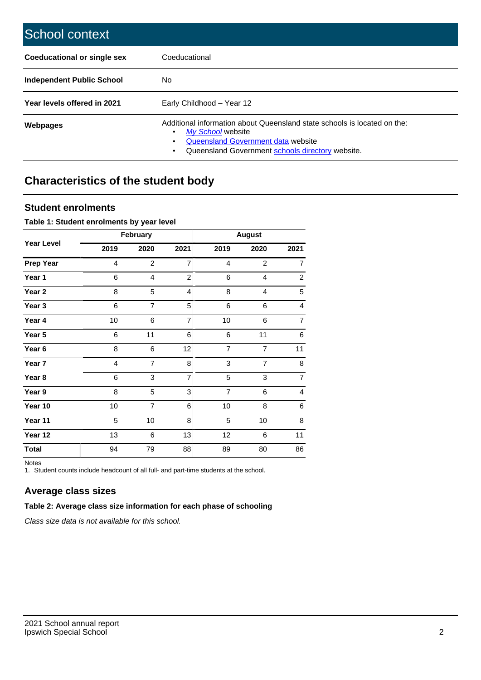| School context                   |                                                                                                                                                                                         |
|----------------------------------|-----------------------------------------------------------------------------------------------------------------------------------------------------------------------------------------|
| Coeducational or single sex      | Coeducational                                                                                                                                                                           |
| <b>Independent Public School</b> | No                                                                                                                                                                                      |
| Year levels offered in 2021      | Early Childhood - Year 12                                                                                                                                                               |
| Webpages                         | Additional information about Queensland state schools is located on the:<br>My School website<br>Queensland Government data website<br>Queensland Government schools directory website. |

# **Characteristics of the student body**

## **Student enrolments**

#### **Table 1: Student enrolments by year level**

|                   |                | February       |                |                | <b>August</b>  |                |
|-------------------|----------------|----------------|----------------|----------------|----------------|----------------|
| <b>Year Level</b> | 2019           | 2020           | 2021           | 2019           | 2020           | 2021           |
| <b>Prep Year</b>  | $\overline{4}$ | $\overline{c}$ | $\overline{7}$ | $\overline{4}$ | $\overline{2}$ | $\overline{7}$ |
| Year 1            | 6              | 4              | $\overline{c}$ | 6              | 4              | $\overline{a}$ |
| Year 2            | 8              | 5              | 4              | 8              | $\overline{4}$ | 5              |
| Year 3            | 6              | $\overline{7}$ | 5              | 6              | 6              | 4              |
| Year 4            | 10             | 6              | $\overline{7}$ | 10             | 6              | $\overline{7}$ |
| Year 5            | 6              | 11             | 6              | 6              | 11             | 6              |
| Year 6            | 8              | 6              | 12             | $\overline{7}$ | $\overline{7}$ | 11             |
| Year 7            | $\overline{4}$ | $\overline{7}$ | 8              | 3              | $\overline{7}$ | 8              |
| Year 8            | 6              | 3              | $\overline{7}$ | 5              | 3              | $\overline{7}$ |
| Year 9            | 8              | 5              | 3              | $\overline{7}$ | 6              | 4              |
| Year 10           | 10             | $\overline{7}$ | 6              | 10             | 8              | 6              |
| Year 11           | 5              | 10             | 8              | 5              | 10             | 8              |
| Year 12           | 13             | 6              | 13             | 12             | 6              | 11             |
| <b>Total</b>      | 94             | 79             | 88             | 89             | 80             | 86             |

Notes

1. Student counts include headcount of all full- and part-time students at the school.

# **Average class sizes**

#### **Table 2: Average class size information for each phase of schooling**

Class size data is not available for this school.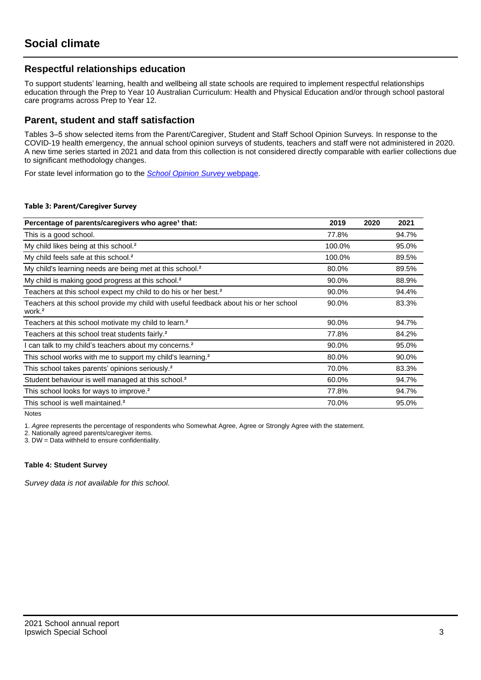## **Respectful relationships education**

To support students' learning, health and wellbeing all state schools are required to implement respectful relationships education through the Prep to Year 10 Australian Curriculum: Health and Physical Education and/or through school pastoral care programs across Prep to Year 12.

### **Parent, student and staff satisfaction**

Tables 3–5 show selected items from the Parent/Caregiver, Student and Staff School Opinion Surveys. In response to the COVID-19 health emergency, the annual school opinion surveys of students, teachers and staff were not administered in 2020. A new time series started in 2021 and data from this collection is not considered directly comparable with earlier collections due to significant methodology changes.

For state level information go to the **[School Opinion Survey](https://qed.qld.gov.au/publications/reports/statistics/schooling/schools/schoolopinionsurvey) webpage**.

#### **Table 3: Parent/Caregiver Survey**

| Percentage of parents/caregivers who agree <sup>1</sup> that:                                               | 2019   | 2020 | 2021  |
|-------------------------------------------------------------------------------------------------------------|--------|------|-------|
| This is a good school.                                                                                      | 77.8%  |      | 94.7% |
| My child likes being at this school. <sup>2</sup>                                                           | 100.0% |      | 95.0% |
| My child feels safe at this school. <sup>2</sup>                                                            | 100.0% |      | 89.5% |
| My child's learning needs are being met at this school. <sup>2</sup>                                        | 80.0%  |      | 89.5% |
| My child is making good progress at this school. <sup>2</sup>                                               | 90.0%  |      | 88.9% |
| Teachers at this school expect my child to do his or her best. <sup>2</sup>                                 | 90.0%  |      | 94.4% |
| Teachers at this school provide my child with useful feedback about his or her school<br>work. <sup>2</sup> | 90.0%  |      | 83.3% |
| Teachers at this school motivate my child to learn. <sup>2</sup>                                            | 90.0%  |      | 94.7% |
| Teachers at this school treat students fairly. <sup>2</sup>                                                 | 77.8%  |      | 84.2% |
| I can talk to my child's teachers about my concerns. <sup>2</sup>                                           | 90.0%  |      | 95.0% |
| This school works with me to support my child's learning. <sup>2</sup>                                      | 80.0%  |      | 90.0% |
| This school takes parents' opinions seriously. <sup>2</sup>                                                 | 70.0%  |      | 83.3% |
| Student behaviour is well managed at this school. <sup>2</sup>                                              | 60.0%  |      | 94.7% |
| This school looks for ways to improve. <sup>2</sup>                                                         | 77.8%  |      | 94.7% |
| This school is well maintained. <sup>2</sup>                                                                | 70.0%  |      | 95.0% |

Notes

1. Agree represents the percentage of respondents who Somewhat Agree, Agree or Strongly Agree with the statement.

2. Nationally agreed parents/caregiver items.

3. DW = Data withheld to ensure confidentiality.

#### **Table 4: Student Survey**

Survey data is not available for this school.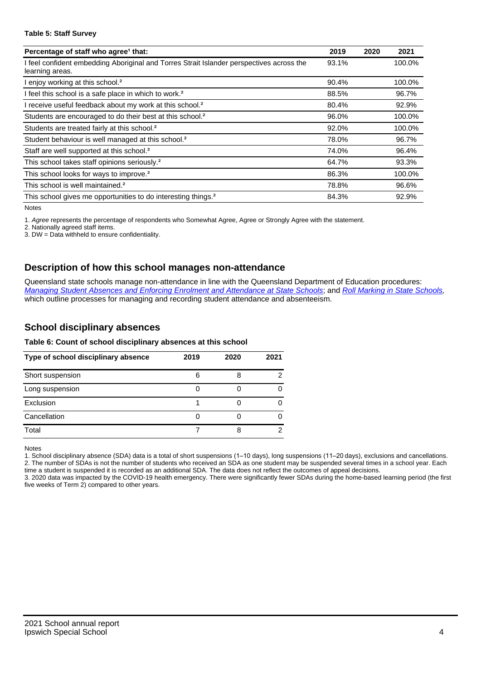#### **Table 5: Staff Survey**

| Percentage of staff who agree <sup>1</sup> that:                                                            | 2019  | 2020 | 2021   |
|-------------------------------------------------------------------------------------------------------------|-------|------|--------|
| I feel confident embedding Aboriginal and Torres Strait Islander perspectives across the<br>learning areas. | 93.1% |      | 100.0% |
| I enjoy working at this school. <sup>2</sup>                                                                | 90.4% |      | 100.0% |
| I feel this school is a safe place in which to work. <sup>2</sup>                                           | 88.5% |      | 96.7%  |
| I receive useful feedback about my work at this school. <sup>2</sup>                                        | 80.4% |      | 92.9%  |
| Students are encouraged to do their best at this school. <sup>2</sup>                                       | 96.0% |      | 100.0% |
| Students are treated fairly at this school. <sup>2</sup>                                                    | 92.0% |      | 100.0% |
| Student behaviour is well managed at this school. <sup>2</sup>                                              | 78.0% |      | 96.7%  |
| Staff are well supported at this school. <sup>2</sup>                                                       | 74.0% |      | 96.4%  |
| This school takes staff opinions seriously. <sup>2</sup>                                                    | 64.7% |      | 93.3%  |
| This school looks for ways to improve. <sup>2</sup>                                                         | 86.3% |      | 100.0% |
| This school is well maintained. <sup>2</sup>                                                                | 78.8% |      | 96.6%  |
| This school gives me opportunities to do interesting things. <sup>2</sup>                                   | 84.3% |      | 92.9%  |

Notes

1. Agree represents the percentage of respondents who Somewhat Agree, Agree or Strongly Agree with the statement.

2. Nationally agreed staff items.

3. DW = Data withheld to ensure confidentiality.

## **Description of how this school manages non-attendance**

Queensland state schools manage non-attendance in line with the Queensland Department of Education procedures: [Managing Student Absences and Enforcing Enrolment and Attendance at State Schools](https://ppr.qed.qld.gov.au/pp/managing-student-absences-and-enforcing-enrolment-and-attendance-at-state-schools-procedure); and [Roll Marking in State Schools,](https://ppr.qed.qld.gov.au/pp/roll-marking-in-state-schools-procedure) which outline processes for managing and recording student attendance and absenteeism.

## **School disciplinary absences**

#### **Table 6: Count of school disciplinary absences at this school**

| Type of school disciplinary absence | 2019 | 2020 | 2021 |
|-------------------------------------|------|------|------|
| Short suspension                    | 6    |      |      |
| Long suspension                     |      |      |      |
| Exclusion                           |      |      |      |
| Cancellation                        |      |      |      |
| Total                               |      |      |      |

Notes

1. School disciplinary absence (SDA) data is a total of short suspensions (1–10 days), long suspensions (11–20 days), exclusions and cancellations. 2. The number of SDAs is not the number of students who received an SDA as one student may be suspended several times in a school year. Each time a student is suspended it is recorded as an additional SDA. The data does not reflect the outcomes of appeal decisions.

3. 2020 data was impacted by the COVID-19 health emergency. There were significantly fewer SDAs during the home-based learning period (the first five weeks of Term 2) compared to other years.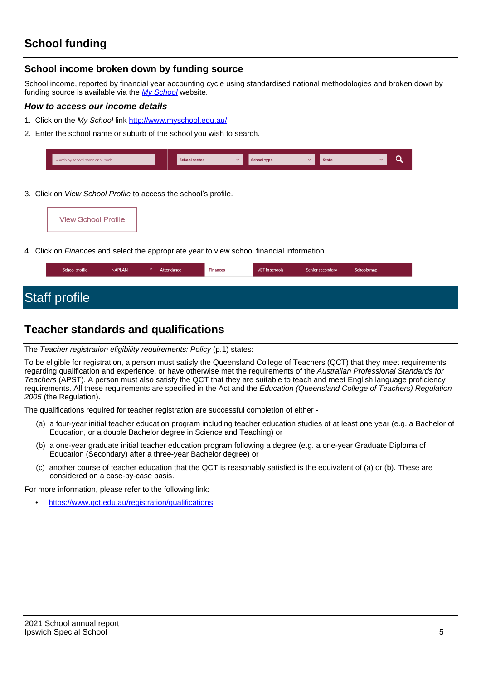## **School income broken down by funding source**

School income, reported by financial year accounting cycle using standardised national methodologies and broken down by funding source is available via the [My School](http://www.myschool.edu.au/) website.

#### **How to access our income details**

- 1. Click on the My School link <http://www.myschool.edu.au/>.
- 2. Enter the school name or suburb of the school you wish to search.

| Search by school name or suburb | <b>School sector</b> | hool type | <b>State</b> |  |
|---------------------------------|----------------------|-----------|--------------|--|
|                                 |                      |           |              |  |

3. Click on *View School Profile* to access the school's profile.

4. Click on Finances and select the appropriate year to view school financial information.

| School profile       | <b>NAPLAN</b> | Attendance | <b>Finances</b> | VET in schools | Senior secondary | Schools map |
|----------------------|---------------|------------|-----------------|----------------|------------------|-------------|
|                      |               |            |                 |                |                  |             |
| <b>Staff profile</b> |               |            |                 |                |                  |             |

# **Teacher standards and qualifications**

The Teacher registration eligibility requirements: Policy (p.1) states:

To be eligible for registration, a person must satisfy the Queensland College of Teachers (QCT) that they meet requirements regarding qualification and experience, or have otherwise met the requirements of the Australian Professional Standards for Teachers (APST). A person must also satisfy the QCT that they are suitable to teach and meet English language proficiency requirements. All these requirements are specified in the Act and the Education (Queensland College of Teachers) Regulation 2005 (the Regulation).

The qualifications required for teacher registration are successful completion of either -

- (a) a four-year initial teacher education program including teacher education studies of at least one year (e.g. a Bachelor of Education, or a double Bachelor degree in Science and Teaching) or
- (b) a one-year graduate initial teacher education program following a degree (e.g. a one-year Graduate Diploma of Education (Secondary) after a three-year Bachelor degree) or
- (c) another course of teacher education that the QCT is reasonably satisfied is the equivalent of (a) or (b). These are considered on a case-by-case basis.

For more information, please refer to the following link:

• <https://www.qct.edu.au/registration/qualifications>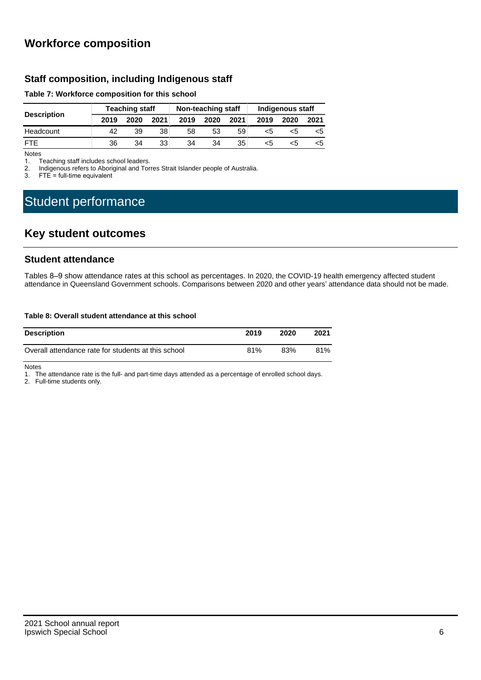# **Workforce composition**

## **Staff composition, including Indigenous staff**

#### **Table 7: Workforce composition for this school**

|                    | <b>Teaching staff</b> |      |      | Non-teaching staff |      |      | Indigenous staff |      |      |
|--------------------|-----------------------|------|------|--------------------|------|------|------------------|------|------|
| <b>Description</b> | 2019                  | 2020 | 2021 | 2019               | 2020 | 2021 | 2019             | 2020 | 2021 |
| Headcount          | 42                    | 39   | 38   | 58                 | 53   | 59   | <5               |      | כ>   |
| <b>FTF</b>         | 36                    | 34   | 33   | 34                 | 34   | 35   | <5               | <5   | <5   |

Notes<br>1. T

1. Teaching staff includes school leaders.<br>2. Indigenous refers to Aboriginal and Tor

2. Indigenous refers to Aboriginal and Torres Strait Islander people of Australia.<br>3. FTE = full-time equivalent

 $FTE = full-time equivalent$ 

# Student performance

# **Key student outcomes**

### **Student attendance**

Tables 8–9 show attendance rates at this school as percentages. In 2020, the COVID-19 health emergency affected student attendance in Queensland Government schools. Comparisons between 2020 and other years' attendance data should not be made.

#### **Table 8: Overall student attendance at this school**

| <b>Description</b>                                  | 2019 | 2020 | 2021 |
|-----------------------------------------------------|------|------|------|
| Overall attendance rate for students at this school | 81%  | 83%  | 81%  |

Notes

1. The attendance rate is the full- and part-time days attended as a percentage of enrolled school days.

2. Full-time students only.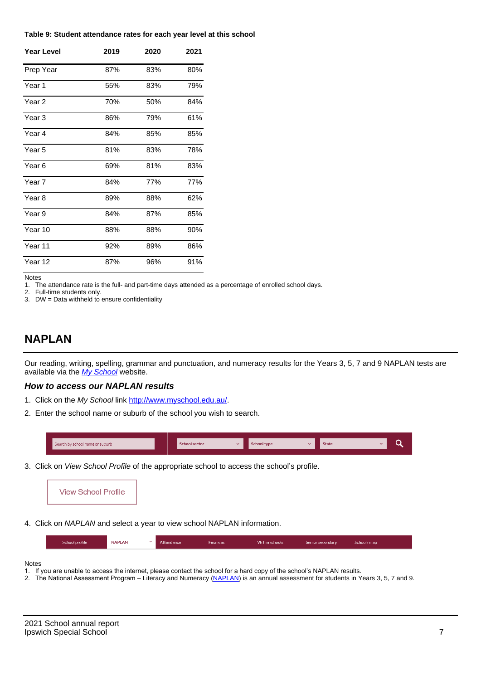#### **Table 9: Student attendance rates for each year level at this school**

| <b>Year Level</b> | 2019 | 2020 | 2021 |
|-------------------|------|------|------|
| Prep Year         | 87%  | 83%  | 80%  |
| Year <sub>1</sub> | 55%  | 83%  | 79%  |
| Year 2            | 70%  | 50%  | 84%  |
| Year 3            | 86%  | 79%  | 61%  |
| Year 4            | 84%  | 85%  | 85%  |
| Year 5            | 81%  | 83%  | 78%  |
| Year <sub>6</sub> | 69%  | 81%  | 83%  |
| Year 7            | 84%  | 77%  | 77%  |
| Year 8            | 89%  | 88%  | 62%  |
| Year 9            | 84%  | 87%  | 85%  |
| Year 10           | 88%  | 88%  | 90%  |
| Year 11           | 92%  | 89%  | 86%  |
| Year 12           | 87%  | 96%  | 91%  |

Notes

1. The attendance rate is the full- and part-time days attended as a percentage of enrolled school days.<br>2. Full-time students only.

Full-time students only.

3. DW = Data withheld to ensure confidentiality

## **NAPLAN**

Our reading, writing, spelling, grammar and punctuation, and numeracy results for the Years 3, 5, 7 and 9 NAPLAN tests are available via the [My School](http://www.myschool.edu.au/) website.

#### **How to access our NAPLAN results**

- 1. Click on the My School link <http://www.myschool.edu.au/>.
- 2. Enter the school name or suburb of the school you wish to search.

| Search by school name or suburb | <b>School sector</b> | <b>School type</b> | <b>State</b> |  |  |
|---------------------------------|----------------------|--------------------|--------------|--|--|
|                                 |                      |                    |              |  |  |

3. Click on View School Profile of the appropriate school to access the school's profile.



4. Click on NAPLAN and select a year to view school NAPLAN information.

|  |  | School profile | <b>NAPLAN</b> |  | Attendance | Finances | VET in schools | Senior secondary | Schools map |  |
|--|--|----------------|---------------|--|------------|----------|----------------|------------------|-------------|--|
|--|--|----------------|---------------|--|------------|----------|----------------|------------------|-------------|--|

Notes

- 1. If you are unable to access the internet, please contact the school for a hard copy of the school's NAPLAN results.
- 2. The National Assessment Program Literacy and Numeracy ([NAPLAN\)](http://www.nap.edu.au/naplan) is an annual assessment for students in Years 3, 5, 7 and 9.